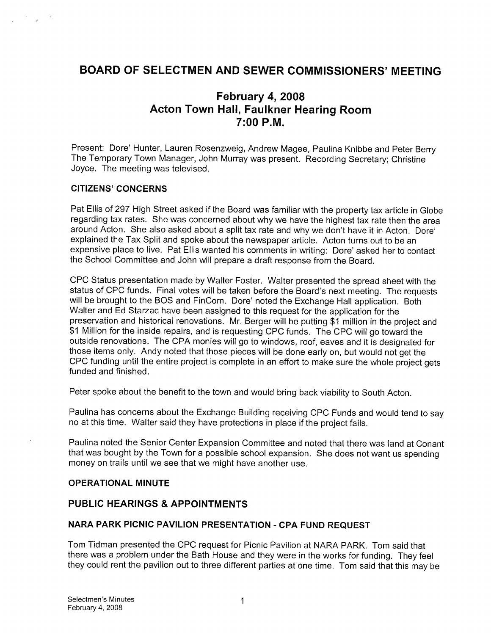## BOARD OF SELECTMEN AND SEWER COMMISSIONERS' MEETING

# February 4, 2008 Acton Town Hall, Faulkner Hearing Room 7:00 P.M.

Present: Dore' Hunter, Lauren Rosenzweig, Andrew Magee, Paulina Knibbe and Peter Berry The Temporary Town Manager, John Murray was present. Recording Secretary; Christine Joyce. The meeting was televised.

#### CITIZENS' CONCERNS

Pat Ellis of 297 High Street asked if the Board was familiar with the property tax article in Globe regarding tax rates. She was concerned about why we have the highest tax rate then the area around Acton. She also asked about a split tax rate and why we don't have it in Acton. Dore' explained the Tax Split and spoke about the newspaper article. Acton turns out to be an expensive place to live. Pat Ellis wanted his comments in writing: Dore' asked her to contact the School Committee and John will prepare a draft response from the Board.

CPC Status presentation made by Walter Foster. Walter presented the spread sheet with the status of CPC funds. Final votes will be taken before the Board's next meeting. The requests will be brought to the BOS and FinCom. Dore' noted the Exchange Hall application. Both Walter and Ed Starzac have been assigned to this request for the application for the preservation and historical renovations. Mr. Berger will be putting \$1 million in the project and \$1 Million for the inside repairs, and is requesting CPC funds. The CPC will go toward the outside renovations. The CPA monies will go to windows, roof, eaves and it is designated for those items only. Andy noted that those pieces will be done early on, but would not get the CPC funding until the entire project is complete in an effort to make sure the whole project gets funded and finished.

Peter spoke about the benefit to the town and would bring back viability to South Acton.

Paulina has concerns about the Exchange Building receiving CPC Funds and would tend to say no at this time. Walter said they have protections in place if the project fails.

Paulina noted the Senior Center Expansion Committee and noted that there was land at Conant that was bought by the Town for a possible school expansion. She does not want us spending money on trails until we see that we might have another use.

#### OPERATIONAL MINUTE

## PUBLIC HEARINGS & APPOINTMENTS

#### NARA PARK PICNIC PAVILION PRESENTATION - CPA FUND REQUEST

Tom Tidman presented the CPC request for Picnic Pavilion at NARA PARK. Tom said that there was a problem under the Bath House and they were in the works for funding. They feel they could rent the pavilion out to three different parties at one time. Tom said that this may be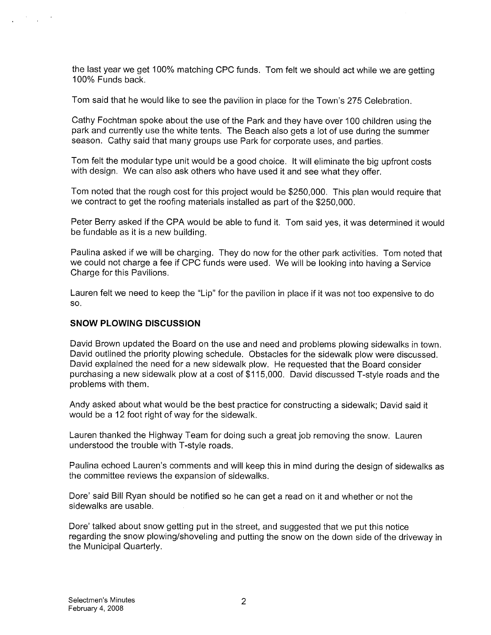the last year we get 100% matching CPC funds. Tom felt we should act while we are getting 100% Funds back.

Tom said that he would like to see the pavilion in place for the Town's 275 Celebration.

Cathy Fochtman spoke about the use of the Park and they have over 100 children using the park and currently use the white tents. The Beach also gets a lot of use during the summer season. Cathy said that many groups use Park for corporate uses, and parties.

Tom felt the modular type unit would be a good choice. It will eliminate the big upfront costs with design. We can also ask others who have used it and see what they offer.

Tom noted that the rough cost for this project would be \$250,000. This plan would require that we contract to get the roofing materials installed as part of the \$250,000.

Peter Berry asked if the CPA would be able to fund it. Tom said yes, it was determined it would be fundable as it is a new building.

Paulina asked if we will be charging. They do now for the other park activities. Tom noted that we could not charge a fee if CPC funds were used. We will be looking into having a Service Charge for this Pavilions.

Lauren felt we need to keep the "Lip" for the pavilion in place if it was not too expensive to do so.

## SNOW PLOWING DISCUSSION

David Brown updated the Board on the use and need and problems plowing sidewalks in town. David outlined the priority plowing schedule. Obstacles for the sidewalk plow were discussed. David explained the need for a new sidewalk plow. He requested that the Board consider purchasing a new sidewalk plow at a cost of \$1 15,000. David discussed T-style roads and the problems with them.

Andy asked about what would be the best practice for constructing a sidewalk; David said it would be a 12 foot right of way for the sidewalk.

Lauren thanked the Highway Team for doing such a great job removing the snow. Lauren understood the trouble with T-style roads.

Paulina echoed Lauren's comments and will keep this in mind during the design of sidewalks as the committee reviews the expansion of sidewalks.

Dore' said Bill Ryan should be notified so he can get a read on it and whether or not the sidewalks are usable.

Dare' talked about snow getting put in the street, and suggested that we put this notice regarding the snow plowing/shoveling and putting the snow on the down side of the driveway in the Municipal Quarterly.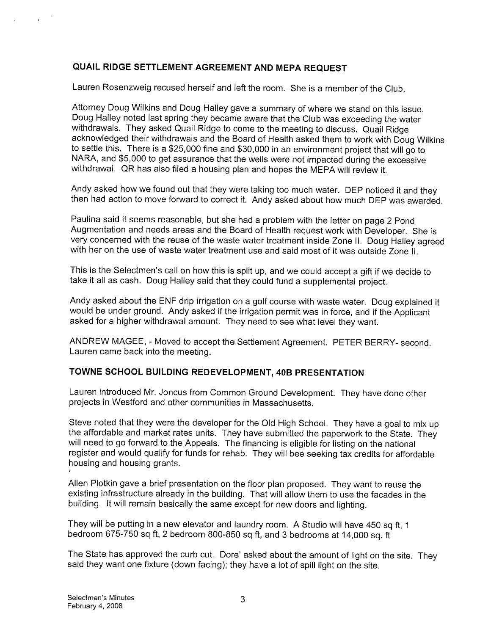## QUAIL RIDGE SETTLEMENT AGREEMENT AND MEPA REQUEST

Lauren Rosenzweig recused herself and left the room. She is <sup>a</sup> member of the Club.

Attorney Doug Wilkins and Doug Halley gave <sup>a</sup> summary of where we stand on this issue. Doug Halley noted last spring they became aware that the Club was exceeding the water withdrawals. They asked Quail Ridge to come to the meeting to discuss. Quail Ridge acknowledged their withdrawals and the Board of Health asked them to work with Doug Wilkins to settle this. There is <sup>a</sup> \$25,000 fine and \$30,000 in an environment project that will go to NARA, and \$5,000 to get assurance that the wells were not impacted during the excessive withdrawal. QR has also filed <sup>a</sup> housing <sup>p</sup>lan and hopes the MEPA will review it.

Andy asked how we found out that they were taking too much water. DEP noticed it and they then had action to move forward to correct it. Andy asked about how much DEP was awarded.

Paulina said it seems reasonable, but she had <sup>a</sup> problem with the letter on page <sup>2</sup> Pond Augmentation and needs areas and the Board of Health request work with Developer. She is very concerned with the reuse of the waste water treatment inside Zone II. Doug Halley agreed with her on the use of waste water treatment use and said most of it was outside Zone II.

This is the Selectmen's call on how this is split up, and we could accept <sup>a</sup> <sup>g</sup>ift if we decide to take it all as cash. Doug Halley said that they could fund <sup>a</sup> supplemental project.

Andy asked about the ENF drip irrigation on <sup>a</sup> golf course with waste water. Doug explained it would be under ground. Andy asked if the irrigation permit was in force, and if the Applicant asked for <sup>a</sup> higher withdrawal amount. They need to see what level they want.

ANDREW MAGEE, -Moved to accept the Settlement Agreement. PETER BERRY- second. Lauren came back into the meeting.

## TOWNE SCHOOL BUILDING REDEVELOPMENT, 40B PRESENTATION

Lauren introduced Mr. Joncus from Common Ground Development. They have done other projects in Westford and other communities in Massachusetts.

Steve noted that they were the developer for the Old High School. They have <sup>a</sup> goa<sup>l</sup> to mix up the affordable and market rates units. They have submitted the paperwork to the State. They will need to go forward to the Appeals. The financing is eligible for listing on the national register and would qualify for funds for rehab. They will bee seeking tax credits for affordable housing and housing grants.

Allen Plotkin gave <sup>a</sup> brief presentation on the floor <sup>p</sup>lan proposed. They want to reuse the existing infrastructure already in the building. That will allow them to use the facades in the building. It will remain basically the same except for new doors and lighting.

They will be putting in <sup>a</sup> new elevator and laundry room. <sup>A</sup> Studio will have <sup>450</sup> sq ft, <sup>1</sup> bedroom 675-750 sq ft, 2 bedroom 800-850 sq ft, and 3 bedrooms at 14,000 sq. ft

The State has approved the curb cut. Dore' asked about the amount of light on the site. They said they want one fixture (down facing); they have <sup>a</sup> lot of spill light on the site.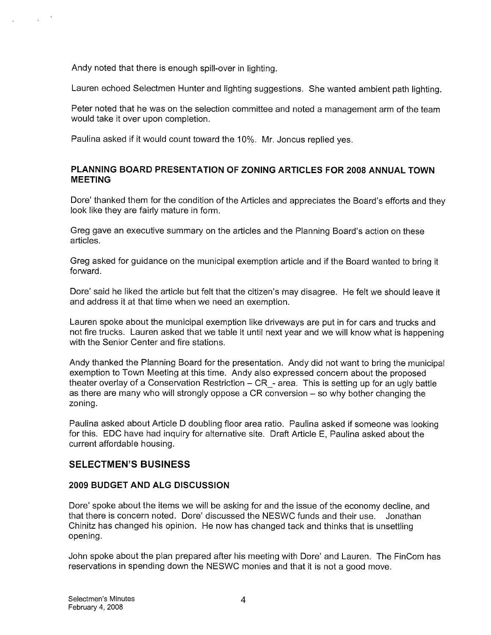Andy noted that there is enough spill-over in lighting.

Lauren echoed Selectmen Hunter and lighting suggestions. She wanted ambient path lighting.

Peter noted that he was on the selection committee and noted a management arm of the team would take it over upon completion.

Paulina asked if it would count toward the 10%. Mr. Joncus replied yes.

## PLANNING BOARD PRESENTATION OF ZONING ARTICLES FOR 2008 ANNUAL TOWN **MEETING**

Dore' thanked them for the condition of the Articles and appreciates the Board's efforts and they look like they are fairly mature in form.

Greg gave an executive summary on the articles and the Planning Board's action on these articles.

Greg asked for guidance on the municipal exemption article and if the Board wanted to bring it forward.

Dore' said he liked the article but felt that the citizen's may disagree. He felt we should leave it and address it at that time when we need an exemption.

Lauren spoke about the municipal exemption like driveways are put in for cars and trucks and not fire trucks. Lauren asked that we table it until next year and we will know what is happening with the Senior Center and fire stations.

Andy thanked the Planning Board for the presentation. Andy did not want to bring the municipal exemption to Town Meeting at this time. Andy also expressed concern about the proposed theater overlay of a Conservation Restriction - CR - area. This is setting up for an ugly battle as there are many who will strongly oppose a CR conversion — so why bother changing the zoning.

Paulina asked about Article <sup>D</sup> doubling floor area ratio. Paulina asked if someone was looking for this. EDC have had inquiry for alternative site. Draft Article E, Paulina asked about the current affordable housing.

## SELECTMEN'S BUSINESS

## 2009 BUDGET AND ALG DISCUSSION

Dore' spoke about the items we will be asking for and the issue of the economy decline, and that there is concern noted. Dore' discussed the NESWC funds and their use. Jonathan Chinitz has changed his opinion. He now has changed tack and thinks that is unsettling opening.

John spoke about the plan prepared after his meeting with Dore' and Lauren. The FinCom has reservations in spending down the NESWC monies and that it is not a good move.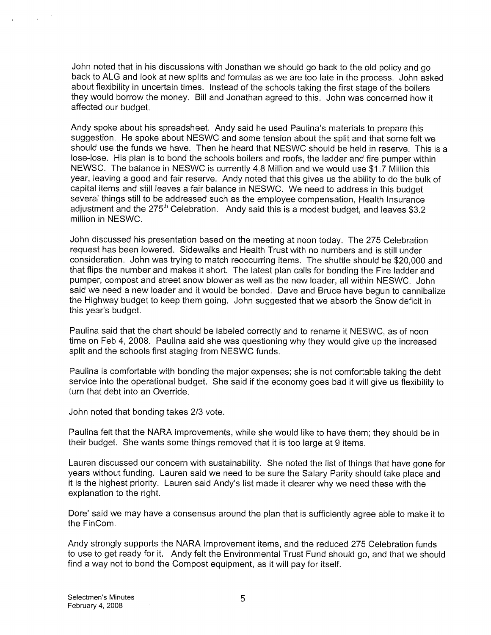John noted that in his discussions with Jonathan we should go back to the old policy and go back to ALG and look at new splits and formulas as we are too late in the process. John asked about flexibility in uncertain times. Instead of the schools taking the first stage of the boilers they would borrow the money. Bill and Jonathan agreed to this. John was concerned how it affected our budget.

Andy spoke about his spreadsheet. Andy said he used Paulina's materials to prepare this suggestion. He spoke about NESWC and some tension about the split and that some felt we should use the funds we have. Then he heard that NESWC should be held in reserve. This is a lose-lose. His plan is to bond the schools boilers and roofs, the ladder and fire pumper within NEWSC. The balance in NESWC is currently 4.8 Million and we would use \$1 .7 Million this year, leaving a good and fair reserve. Andy noted that this gives us the ability to do the bulk of capital items and still leaves a fair balance in NESWC. We need to address in this budget several things still to be addressed such as the employee compensation, Health Insurance adjustment and the  $275<sup>th</sup>$  Celebration. Andy said this is a modest budget, and leaves \$3.2 million in NESWC.

John discussed his presentation based on the meeting at noon today. The 275 Celebration request has been lowered. Sidewalks and Health Trust with no numbers and is still under consideration. John was trying to match reoccurring items. The shuttle should be \$20,000 and that flips the number and makes it short. The latest plan calls for bonding the Fire ladder and pumper, compost and street snow blower as well as the new loader, all within NESWC. John said we need a new loader and it would be bonded. Dave and Bruce have begun to cannibalize the Highway budget to keep them going. John suggested that we absorb the Snow deficit in this year's budget.

Paulina said that the chart should be labeled correctly and to rename it NESWC, as of noon time on Feb 4, 2008. Paulina said she was questioning why they would give up the increased split and the schools first staging from NESWC funds.

Paulina is comfortable with bonding the major expenses; she is not comfortable taking the debt service into the operational budget. She said if the economy goes bad it will give us flexibility to turn that debt into an Override.

John noted that bonding takes 2/3 vote.

Paulina felt that the NARA improvements, while she would like to have them; they should be in their budget. She wants some things removed that it is too large at 9 items.

Lauren discussed our concern with sustainability. She noted the list of things that have gone for years without funding. Lauren said we need to be sure the Salary Parity should take place and it is the highest priority. Lauren said Andy's list made it clearer why we need these with the explanation to the right.

Dore' said we may have a consensus around the plan that is sufficiently agree able to make it to the FinCom.

Andy strongly supports the NARA Improvement items, and the reduced 275 Celebration funds to use to get ready for it. Andy felt the Environmental Trust Fund should go, and that we should find a way not to bond the Compost equipment, as it will pay for itself.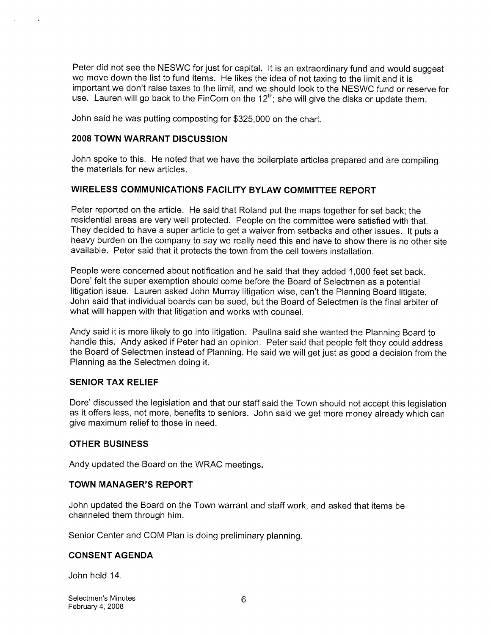Peter did not see the NESWC for just for capital. It is an extraordinary fund and would suggest we move down the list to fund items. He likes the idea of not taxing to the limit and it is important we don't raise taxes to the limit, and we should look to the NESWC fund or reserve for use. Lauren will go back to the FinCom on the  $12<sup>th</sup>$ ; she will give the disks or update them.

John said he was putting composting for \$325,000 on the chart.

#### 2008 TOWN WARRANT DISCUSSION

John spoke to this. He noted that we have the boilerplate articles prepared and are compiling the materials for new articles.

## WIRELESS COMMUNICATIONS FACILITY BYLAW COMMITTEE REPORT

Peter reported on the article. He said that Roland put the maps together for set back; the residential areas are very well protected. People on the committee were satisfied with that. They decided to have a super article to get a waiver from setbacks and other issues. It puts a heavy burden on the company to say we really need this and have to show there is no other site available. Peter said that it protects the town from the cell towers installation.

People were concerned about notification and he said that they added 1,000 feet set back. Dore' felt the super exemption should come before the Board of Selectmen as a potential litigation issue. Lauren asked John Murray litigation wise, can't the Planning Board litigate. John said that individual boards can be sued, but the Board of Selectmen is the final arbiter of what will happen with that litigation and works with counsel.

Andy said it is more likely to go into litigation. Paulina said she wanted the Planning Board to handle this. Andy asked if Peter had an opinion. Peter said that people felt they could address the Board of Selectmen instead of Planning. He said we will get just as good a decision from the Planning as the Selectmen doing it.

#### SENIOR TAX RELIEF

Dore' discussed the legislation and that our staff said the Town should not accept this legislation as it offers less, not more, benefits to seniors. John said we get more money already which can give maximum relief to those in need.

#### OTHER BUSINESS

Andy updated the Board on the WRAC meetings.

#### TOWN MANAGER'S REPORT

John updated the Board on the Town warrant and staff work, and asked that items be channeled them through him.

Senior Center and COM Plan is doing preliminary planning.

#### CONSENT AGENDA

John held 14.

Selectmen's Minutes 6 and 1999 and 1999 and 1999 and 1999 and 1999 and 1999 and 1999 and 1999 and 1999 and 199 February 4, 2008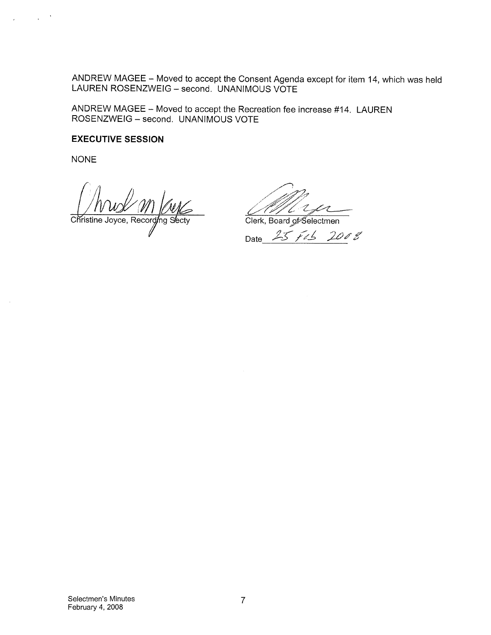ANDREW MAGEE — Moved to accept the Consent Agenda except for item 14, which was held LAUREN ROSENZWEIG — second. UNANIMOUS VOTE

ANDREW MAGEE — Moved to accept the Recreation fee increase #14. LAUREN ROSENZWEIG — second. UNANIMOUS VOTE

#### EXECUTIVE SESSION

NONE

 $\sim$ 

Christine Joyce, Recording Secty Clerk, Board of Selectmen

"L"

Date 25 Feb 2008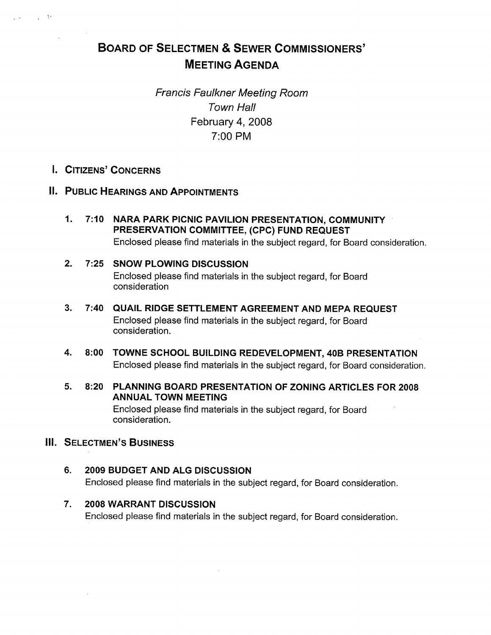# BOARD OF SELECTMEN & SEWER COMMISSIONERS' MEETING AGENDA

Francis Faulkner Meeting Room Town Hall February 4, 2008 7:00 PM

I. CITIZENS' CONCERNS

 $\sim 10^{-11}$  M

- IL PUBLIC HEARINGS AND APPOINTMENTS
	- 1. 7:10 NARA PARK PICNIC PAVILION PRESENTATION, COMMUNITY PRESERVATION COMMITTEE, (CPC) FUND REQUEST Enclosed please find materials in the subject regard, for Board consideration.
	- 2. 7:25 SNOW PLOWING DISCUSSiON Enclosed please find materials in the subject regard, for Board consideration
	- 3. 7:40 QUAIL RIDGE SETTLEMENT AGREEMENT AND MEPA REQUEST Enclosed please find materials in the subject regard, for Board consideration.
	- 4. 8:00 TOWNE SCHOOL BUILDING REDEVELOPMENT, 40B PRESENTATION Enclosed please find materials in the subject regard, for Board consideration.
	- 5. 8:20 PLANNING BOARD PRESENTATION OF ZONING ARTICLES FOR 2008 ANNUAL TOWN MEETING

Enclosed please find materials in the subject regard, for Board consideration.

## III. SELECTMEN'S BUSINESS

- 6. 2009 BUDGET AND ALG DISCUSSION Enclosed please find materials in the subject regard, for Board consideration.
- 7. 2008 WARRANT DISCUSSION Enclosed please find materials in the subject regard, for Board consideration.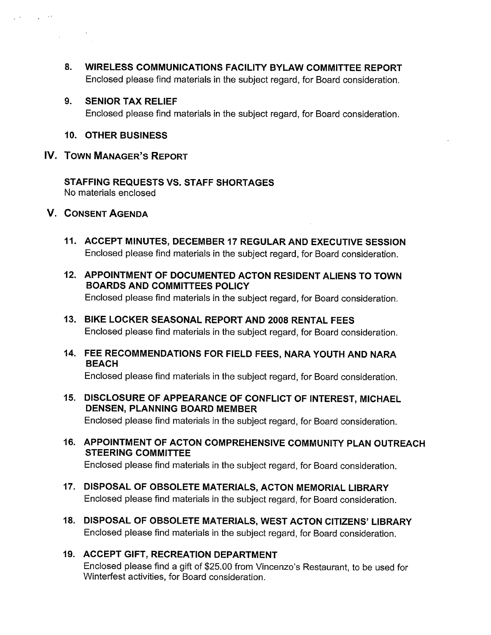- 8. WIRELESS COMMUNICATIONS FACILITY BYLAW COMMITTEE REPORT Enclosed please find materials in the subject regard, for Board consideration.
- 9. SENIOR TAX RELIEF Enclosed please find materials in the subject regard, for Board consideration.
- 10. OTHER BUSINESS
- IV. TOWN MANAGER'S REPORT

STAFFING REQUESTS VS. STAFF SHORTAGES No materials enclosed

V. CONSENT AGENDA

 $\tau_{\rm eff} = 3.2$ 

- 11. ACCEPT MINUTES, DECEMBER 17 REGULAR AND EXECUTIVE SESSION Enclosed please find materials in the subject regard, for Board consideration.
- 12. APPOINTMENT OF DOCUMENTED ACTON RESIDENT ALIENS TO TOWN BOARDS AND COMMITTEES POLICY Enclosed please find materials in the subject regard, for Board consideration.
- 13. BIKE LOCKER SEASONAL REPORT AND 2008 RENTAL FEES Enclosed please find materials in the subject regard, for Board consideration.
- 14. FEE RECOMMENDATIONS FOR FIELD FEES, NARA YOUTH AND NARA BEACH

Enclosed please find materials in the subject regard, for Board consideration.

- 15. DISCLOSURE OF APPEARANCE OF CONFLICT OF INTEREST, MICHAEL DENSEN, PLANNING BOARD MEMBER Enclosed please find materials in the subject regard, for Board consideration.
- 16. APPOINTMENT OF ACTON COMPREHENSIVE COMMUNiTY PLAN OUTREACH STEERING COMMITTEE

Enclosed please find materials in the subject regard, for Board consideration.

- 17. DISPOSAL OF OBSOLETE MATERIALS, ACTON MEMORIAL LIBRARY Enclosed please find materials in the subject regard, for Board consideration.
- 18. DISPOSAL OF OBSOLETE MATERIALS, WEST ACTON CITIZENS' LIBRARY Enclosed please find materials in the subject regard, for Board consideration.

## 19. ACCEPT GIFT, RECREATION DEPARTMENT Enclosed please find a gift of \$25.00 from Vincenzo's Restaurant, to be used for Winterfest activities, for Board consideration.